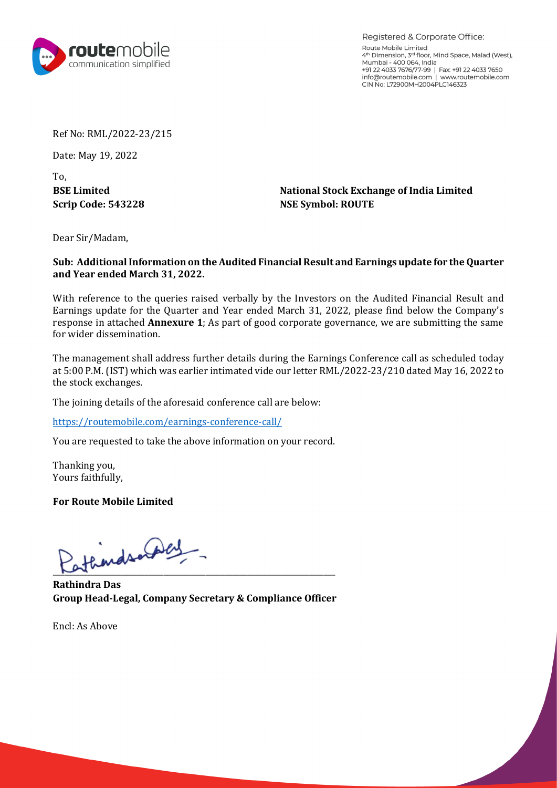

Registered & Corporate Office: Route Mobile Limited 4th Dimension, 3rd floor, Mind Space, Malad (West), Mumbai - 400 064, India<br>Mumbai - 400 064, India<br>+91 22 4033 7676/77-99 | Fax: +91 22 4033 7650 info@routemobile.com | www.routemobile.com CIN No: L72900MH2004PLC146323

Ref No: RML/2022-23/215

Date: May 19, 2022

To,

**BSE Limited National Stock Exchange of India Limited Scrip Code: 543228 NSE Symbol: ROUTE**

Dear Sir/Madam,

## **Sub: Additional Information on the Audited Financial Result and Earnings update for the Quarter and Year ended March 31, 2022.**

With reference to the queries raised verbally by the Investors on the Audited Financial Result and Earnings update for the Quarter and Year ended March 31, 2022, please find below the Company's response in attached **Annexure 1**; As part of good corporate governance, we are submitting the same for wider dissemination.

The management shall address further details during the Earnings Conference call as scheduled today at 5:00 P.M. (IST) which was earlier intimated vide our letter RML/2022-23/210 dated May 16, 2022 to the stock exchanges.

The joining details of the aforesaid conference call are below:

<https://routemobile.com/earnings-conference-call/>

You are requested to take the above information on your record.

Thanking you, Yours faithfully,

**For Route Mobile Limited**

athends or play

**Rathindra Das Group Head-Legal, Company Secretary & Compliance Officer** 

Encl: As Above